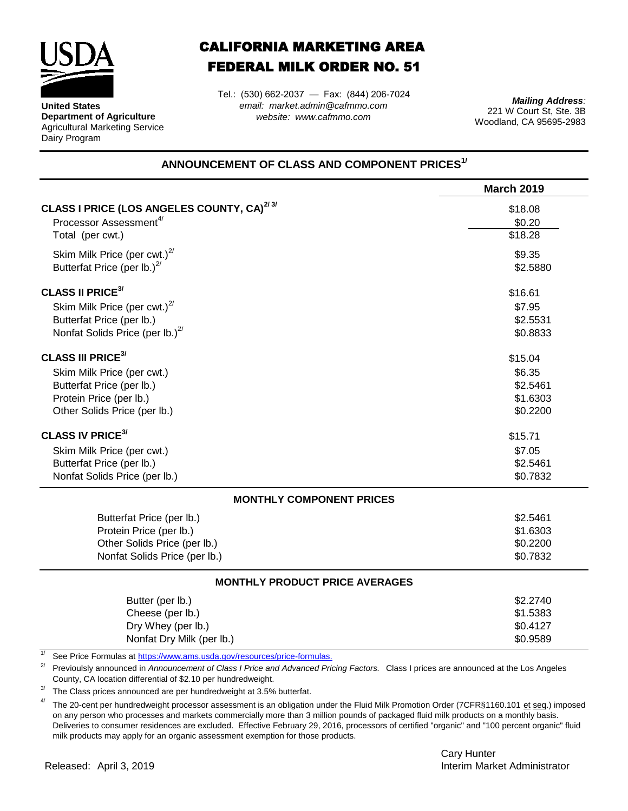

**United States**

Dairy Program

**Department of Agriculture** Agricultural Marketing Service

## CALIFORNIA MARKETING AREA FEDERAL MILK ORDER NO. 51

*email: market.admin@cafmmo.com website: www.cafmmo.com* Tel.: (530) 662-2037 — Fax: (844) 206-7024

*Mailing Address:* 221 W Court St, Ste. 3B Woodland, CA 95695-2983

## **ANNOUNCEMENT OF CLASS AND COMPONENT PRICES1/**

|                                                                          | <b>March 2019</b> |
|--------------------------------------------------------------------------|-------------------|
| <b>CLASS I PRICE (LOS ANGELES COUNTY, CA)</b> <sup>2/3/</sup>            | \$18.08           |
| Processor Assessment <sup>4/</sup>                                       | \$0.20            |
| Total (per cwt.)                                                         | \$18.28           |
| Skim Milk Price (per cwt.) $^{2/}$                                       | \$9.35            |
| Butterfat Price (per lb.) $^{27}$                                        | \$2.5880          |
| <b>CLASS II PRICE<sup>3/</sup></b>                                       | \$16.61           |
| Skim Milk Price (per cwt.) $^{2/}$                                       | \$7.95            |
| Butterfat Price (per lb.)                                                | \$2.5531          |
| Nonfat Solids Price (per lb.) <sup>2/</sup>                              | \$0.8833          |
| <b>CLASS III PRICE<sup>3/</sup></b>                                      | \$15.04           |
| Skim Milk Price (per cwt.)                                               | \$6.35            |
| Butterfat Price (per lb.)                                                | \$2.5461          |
| Protein Price (per lb.)                                                  | \$1.6303          |
| Other Solids Price (per lb.)                                             | \$0.2200          |
| <b>CLASS IV PRICE<sup>3/</sup></b>                                       | \$15.71           |
| Skim Milk Price (per cwt.)                                               | \$7.05            |
| Butterfat Price (per lb.)                                                | \$2.5461          |
| Nonfat Solids Price (per lb.)                                            | \$0.7832          |
| <b>MONTHLY COMPONENT PRICES</b>                                          |                   |
| Butterfat Price (per lb.)                                                | \$2.5461          |
| Protein Price (per lb.)                                                  | \$1.6303          |
| Other Solids Price (per lb.)                                             | \$0.2200          |
| Nonfat Solids Price (per lb.)                                            | \$0.7832          |
| <b>MONTHLY PRODUCT PRICE AVERAGES</b>                                    |                   |
| Butter (per lb.)                                                         | \$2.2740          |
| Cheese (per lb.)                                                         | \$1.5383          |
| Dry Whey (per lb.)                                                       | \$0.4127          |
| Nonfat Dry Milk (per lb.)                                                | \$0.9589          |
| See Price Formulas at https://www.ams.usda.gov/resources/price-formulas. |                   |

2/ Previoulsly announced in *Announcement of Class I Price and Advanced Pricing Factors.* Class I prices are announced at the Los Angeles County, CA location differential of \$2.10 per hundredweight.

3/ The Class prices announced are per hundredweight at 3.5% butterfat.

4/ The 20-cent per hundredweight processor assessment is an obligation under the Fluid Milk Promotion Order (7CFR§1160.101 et seq.) imposed on any person who processes and markets commercially more than 3 million pounds of packaged fluid milk products on a monthly basis. Deliveries to consumer residences are excluded. Effective February 29, 2016, processors of certified "organic" and "100 percent organic" fluid milk products may apply for an organic assessment exemption for those products.